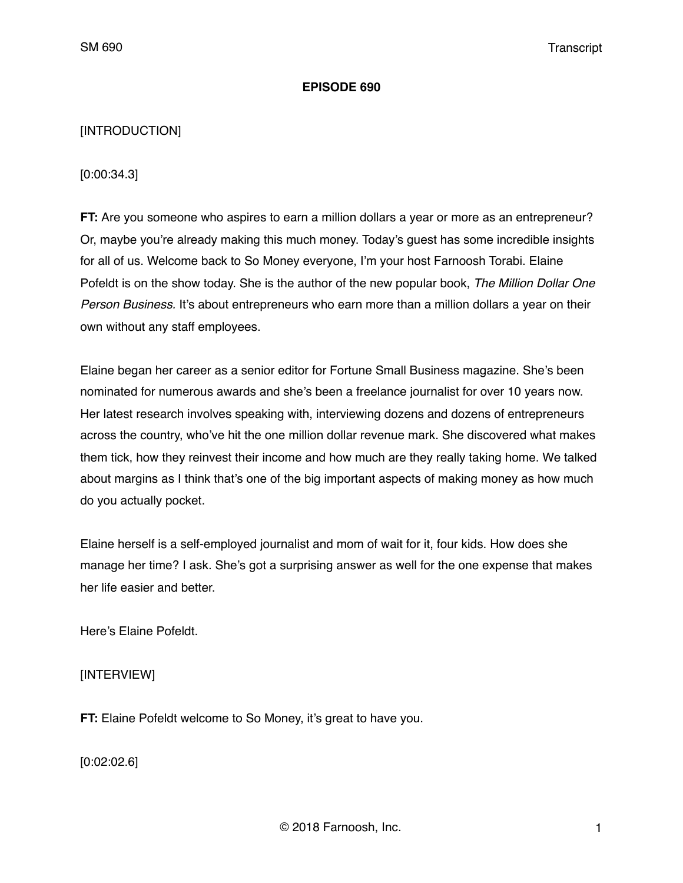## **EPISODE 690**

## [INTRODUCTION]

[0:00:34.3]

**FT:** Are you someone who aspires to earn a million dollars a year or more as an entrepreneur? Or, maybe you're already making this much money. Today's guest has some incredible insights for all of us. Welcome back to So Money everyone, I'm your host Farnoosh Torabi. Elaine Pofeldt is on the show today. She is the author of the new popular book, *The Million Dollar One Person Business.* It's about entrepreneurs who earn more than a million dollars a year on their own without any staff employees.

Elaine began her career as a senior editor for Fortune Small Business magazine. She's been nominated for numerous awards and she's been a freelance journalist for over 10 years now. Her latest research involves speaking with, interviewing dozens and dozens of entrepreneurs across the country, who've hit the one million dollar revenue mark. She discovered what makes them tick, how they reinvest their income and how much are they really taking home. We talked about margins as I think that's one of the big important aspects of making money as how much do you actually pocket.

Elaine herself is a self-employed journalist and mom of wait for it, four kids. How does she manage her time? I ask. She's got a surprising answer as well for the one expense that makes her life easier and better.

Here's Elaine Pofeldt.

[INTERVIEW]

**FT:** Elaine Pofeldt welcome to So Money, it's great to have you.

[0:02:02.6]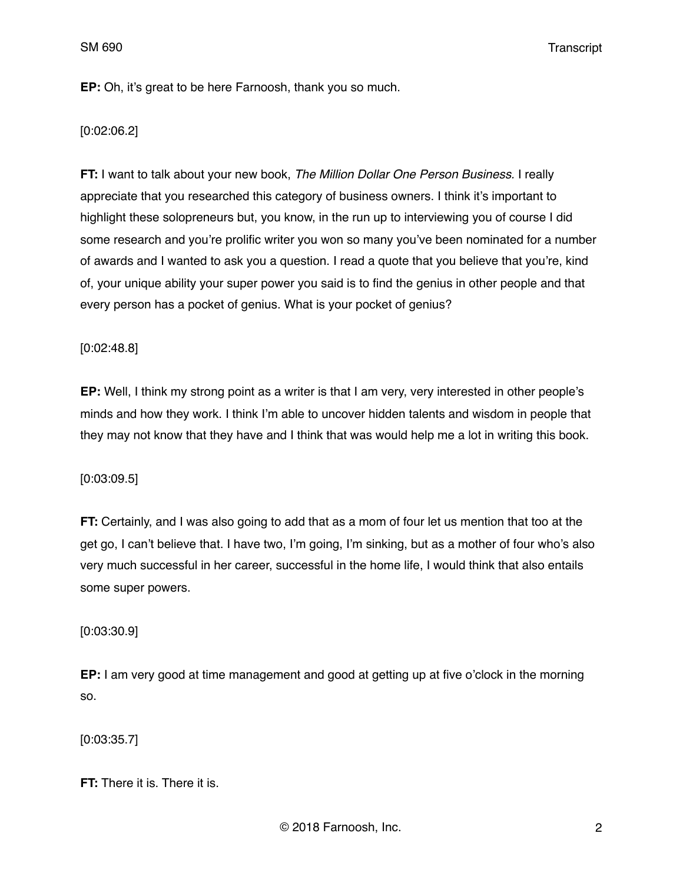**EP:** Oh, it's great to be here Farnoosh, thank you so much.

[0:02:06.2]

**FT:** I want to talk about your new book, *The Million Dollar One Person Business.* I really appreciate that you researched this category of business owners. I think it's important to highlight these solopreneurs but, you know, in the run up to interviewing you of course I did some research and you're prolific writer you won so many you've been nominated for a number of awards and I wanted to ask you a question. I read a quote that you believe that you're, kind of, your unique ability your super power you said is to find the genius in other people and that every person has a pocket of genius. What is your pocket of genius?

[0:02:48.8]

**EP:** Well, I think my strong point as a writer is that I am very, very interested in other people's minds and how they work. I think I'm able to uncover hidden talents and wisdom in people that they may not know that they have and I think that was would help me a lot in writing this book.

[0:03:09.5]

**FT:** Certainly, and I was also going to add that as a mom of four let us mention that too at the get go, I can't believe that. I have two, I'm going, I'm sinking, but as a mother of four who's also very much successful in her career, successful in the home life, I would think that also entails some super powers.

[0:03:30.9]

**EP:** I am very good at time management and good at getting up at five o'clock in the morning so.

[0:03:35.7]

**FT:** There it is. There it is.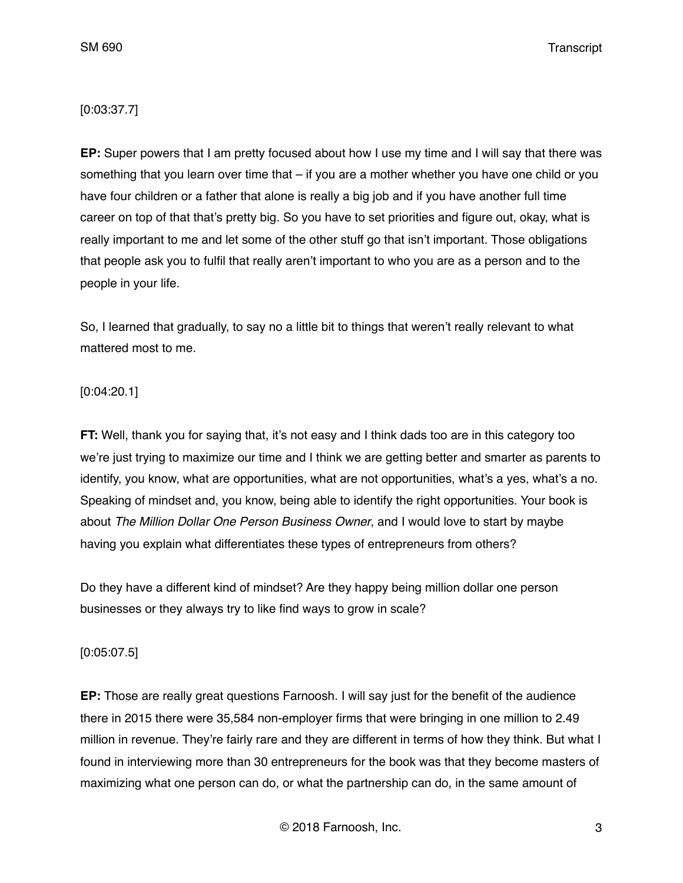# [0:03:37.7]

**EP:** Super powers that I am pretty focused about how I use my time and I will say that there was something that you learn over time that – if you are a mother whether you have one child or you have four children or a father that alone is really a big job and if you have another full time career on top of that that's pretty big. So you have to set priorities and figure out, okay, what is really important to me and let some of the other stuff go that isn't important. Those obligations that people ask you to fulfil that really aren't important to who you are as a person and to the people in your life.

So, I learned that gradually, to say no a little bit to things that weren't really relevant to what mattered most to me.

## [0:04:20.1]

**FT:** Well, thank you for saying that, it's not easy and I think dads too are in this category too we're just trying to maximize our time and I think we are getting better and smarter as parents to identify, you know, what are opportunities, what are not opportunities, what's a yes, what's a no. Speaking of mindset and, you know, being able to identify the right opportunities. Your book is about *The Million Dollar One Person Business Owner*, and I would love to start by maybe having you explain what differentiates these types of entrepreneurs from others?

Do they have a different kind of mindset? Are they happy being million dollar one person businesses or they always try to like find ways to grow in scale?

## [0:05:07.5]

**EP:** Those are really great questions Farnoosh. I will say just for the benefit of the audience there in 2015 there were 35,584 non-employer firms that were bringing in one million to 2.49 million in revenue. They're fairly rare and they are different in terms of how they think. But what I found in interviewing more than 30 entrepreneurs for the book was that they become masters of maximizing what one person can do, or what the partnership can do, in the same amount of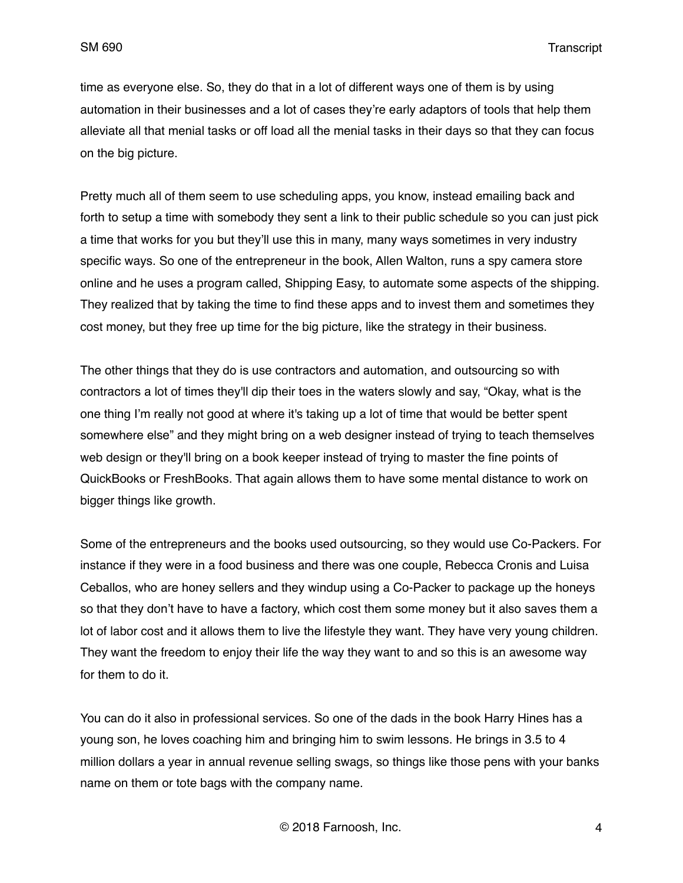time as everyone else. So, they do that in a lot of different ways one of them is by using automation in their businesses and a lot of cases they're early adaptors of tools that help them alleviate all that menial tasks or off load all the menial tasks in their days so that they can focus on the big picture.

Pretty much all of them seem to use scheduling apps, you know, instead emailing back and forth to setup a time with somebody they sent a link to their public schedule so you can just pick a time that works for you but they'll use this in many, many ways sometimes in very industry specific ways. So one of the entrepreneur in the book, Allen Walton, runs a spy camera store online and he uses a program called, Shipping Easy, to automate some aspects of the shipping. They realized that by taking the time to find these apps and to invest them and sometimes they cost money, but they free up time for the big picture, like the strategy in their business.

The other things that they do is use contractors and automation, and outsourcing so with contractors a lot of times they'll dip their toes in the waters slowly and say, "Okay, what is the one thing I'm really not good at where it's taking up a lot of time that would be better spent somewhere else" and they might bring on a web designer instead of trying to teach themselves web design or they'll bring on a book keeper instead of trying to master the fine points of QuickBooks or FreshBooks. That again allows them to have some mental distance to work on bigger things like growth.

Some of the entrepreneurs and the books used outsourcing, so they would use Co-Packers. For instance if they were in a food business and there was one couple, Rebecca Cronis and Luisa Ceballos, who are honey sellers and they windup using a Co-Packer to package up the honeys so that they don't have to have a factory, which cost them some money but it also saves them a lot of labor cost and it allows them to live the lifestyle they want. They have very young children. They want the freedom to enjoy their life the way they want to and so this is an awesome way for them to do it.

You can do it also in professional services. So one of the dads in the book Harry Hines has a young son, he loves coaching him and bringing him to swim lessons. He brings in 3.5 to 4 million dollars a year in annual revenue selling swags, so things like those pens with your banks name on them or tote bags with the company name.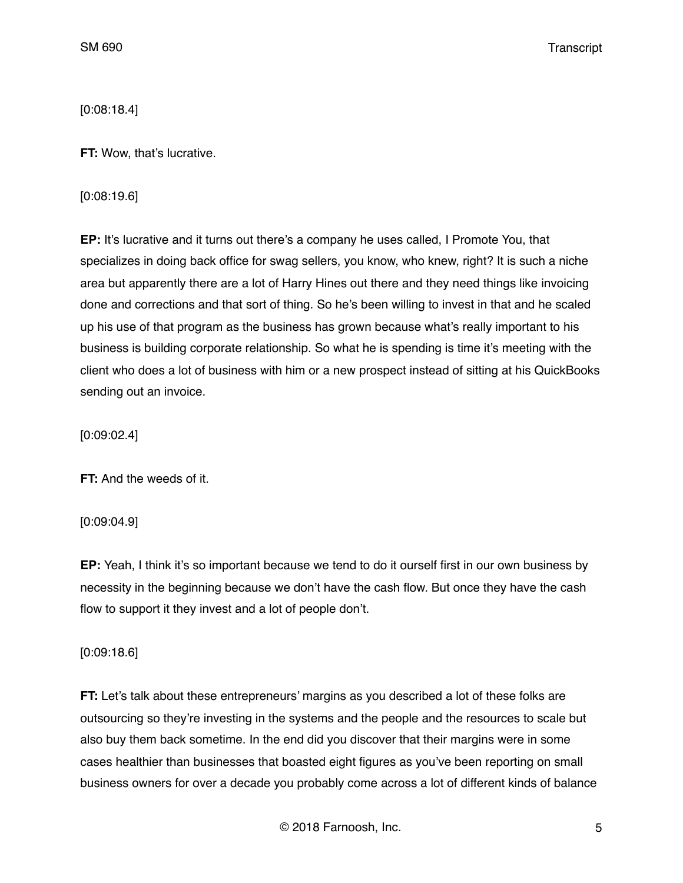[0:08:18.4]

**FT:** Wow, that's lucrative.

[0:08:19.6]

**EP:** It's lucrative and it turns out there's a company he uses called, I Promote You, that specializes in doing back office for swag sellers, you know, who knew, right? It is such a niche area but apparently there are a lot of Harry Hines out there and they need things like invoicing done and corrections and that sort of thing. So he's been willing to invest in that and he scaled up his use of that program as the business has grown because what's really important to his business is building corporate relationship. So what he is spending is time it's meeting with the client who does a lot of business with him or a new prospect instead of sitting at his QuickBooks sending out an invoice.

[0:09:02.4]

**FT:** And the weeds of it.

[0:09:04.9]

**EP:** Yeah, I think it's so important because we tend to do it ourself first in our own business by necessity in the beginning because we don't have the cash flow. But once they have the cash flow to support it they invest and a lot of people don't.

[0:09:18.6]

**FT:** Let's talk about these entrepreneurs' margins as you described a lot of these folks are outsourcing so they're investing in the systems and the people and the resources to scale but also buy them back sometime. In the end did you discover that their margins were in some cases healthier than businesses that boasted eight figures as you've been reporting on small business owners for over a decade you probably come across a lot of different kinds of balance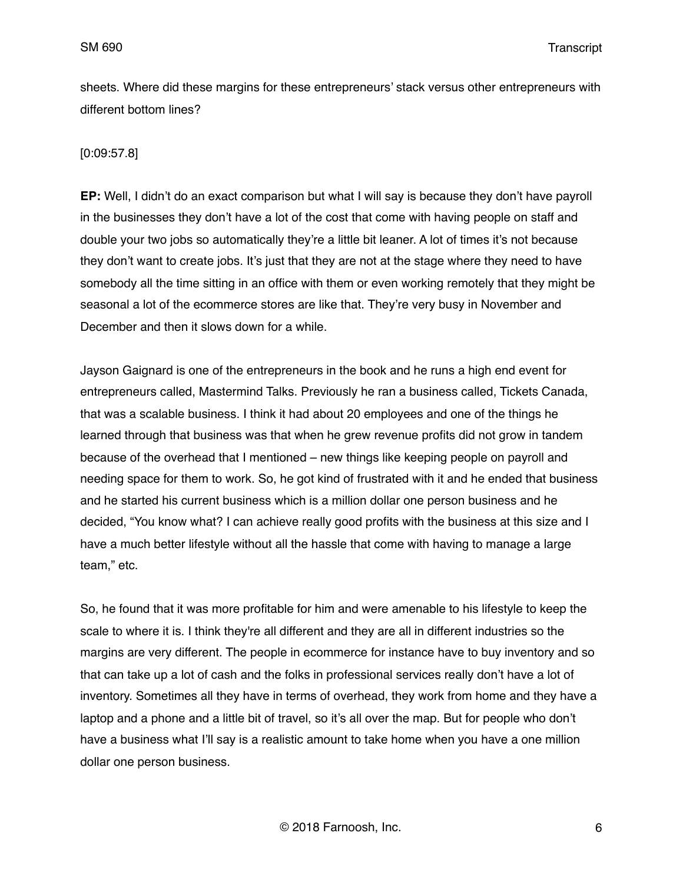sheets. Where did these margins for these entrepreneurs' stack versus other entrepreneurs with different bottom lines?

## [0:09:57.8]

**EP:** Well, I didn't do an exact comparison but what I will say is because they don't have payroll in the businesses they don't have a lot of the cost that come with having people on staff and double your two jobs so automatically they're a little bit leaner. A lot of times it's not because they don't want to create jobs. It's just that they are not at the stage where they need to have somebody all the time sitting in an office with them or even working remotely that they might be seasonal a lot of the ecommerce stores are like that. They're very busy in November and December and then it slows down for a while.

Jayson Gaignard is one of the entrepreneurs in the book and he runs a high end event for entrepreneurs called, Mastermind Talks. Previously he ran a business called, Tickets Canada, that was a scalable business. I think it had about 20 employees and one of the things he learned through that business was that when he grew revenue profits did not grow in tandem because of the overhead that I mentioned – new things like keeping people on payroll and needing space for them to work. So, he got kind of frustrated with it and he ended that business and he started his current business which is a million dollar one person business and he decided, "You know what? I can achieve really good profits with the business at this size and I have a much better lifestyle without all the hassle that come with having to manage a large team," etc.

So, he found that it was more profitable for him and were amenable to his lifestyle to keep the scale to where it is. I think they're all different and they are all in different industries so the margins are very different. The people in ecommerce for instance have to buy inventory and so that can take up a lot of cash and the folks in professional services really don't have a lot of inventory. Sometimes all they have in terms of overhead, they work from home and they have a laptop and a phone and a little bit of travel, so it's all over the map. But for people who don't have a business what I'll say is a realistic amount to take home when you have a one million dollar one person business.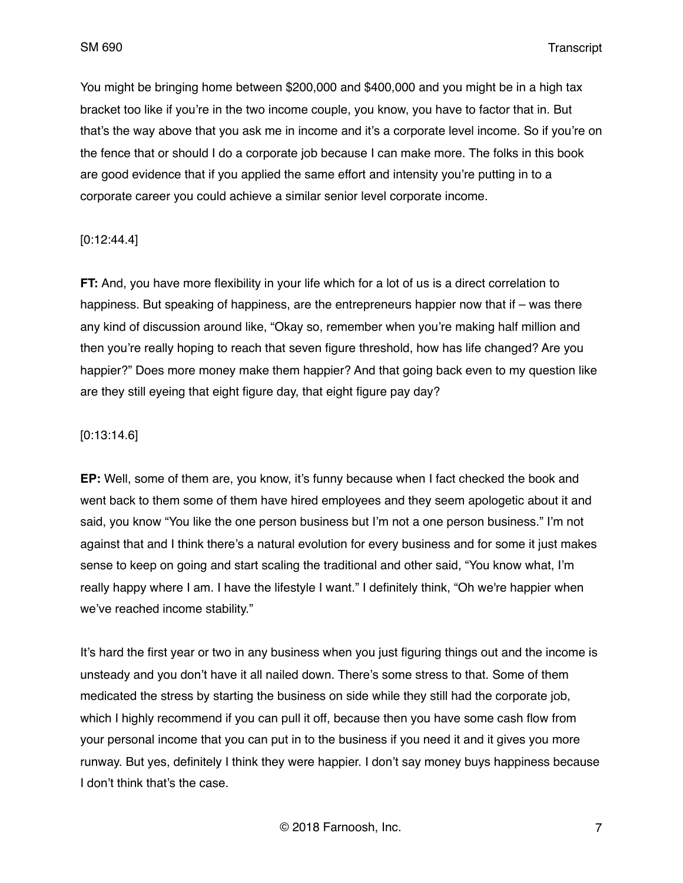You might be bringing home between \$200,000 and \$400,000 and you might be in a high tax bracket too like if you're in the two income couple, you know, you have to factor that in. But that's the way above that you ask me in income and it's a corporate level income. So if you're on the fence that or should I do a corporate job because I can make more. The folks in this book are good evidence that if you applied the same effort and intensity you're putting in to a corporate career you could achieve a similar senior level corporate income.

## [0:12:44.4]

**FT:** And, you have more flexibility in your life which for a lot of us is a direct correlation to happiness. But speaking of happiness, are the entrepreneurs happier now that if – was there any kind of discussion around like, "Okay so, remember when you're making half million and then you're really hoping to reach that seven figure threshold, how has life changed? Are you happier?" Does more money make them happier? And that going back even to my question like are they still eyeing that eight figure day, that eight figure pay day?

#### [0:13:14.6]

**EP:** Well, some of them are, you know, it's funny because when I fact checked the book and went back to them some of them have hired employees and they seem apologetic about it and said, you know "You like the one person business but I'm not a one person business." I'm not against that and I think there's a natural evolution for every business and for some it just makes sense to keep on going and start scaling the traditional and other said, "You know what, I'm really happy where I am. I have the lifestyle I want." I definitely think, "Oh we're happier when we've reached income stability."

It's hard the first year or two in any business when you just figuring things out and the income is unsteady and you don't have it all nailed down. There's some stress to that. Some of them medicated the stress by starting the business on side while they still had the corporate job, which I highly recommend if you can pull it off, because then you have some cash flow from your personal income that you can put in to the business if you need it and it gives you more runway. But yes, definitely I think they were happier. I don't say money buys happiness because I don't think that's the case.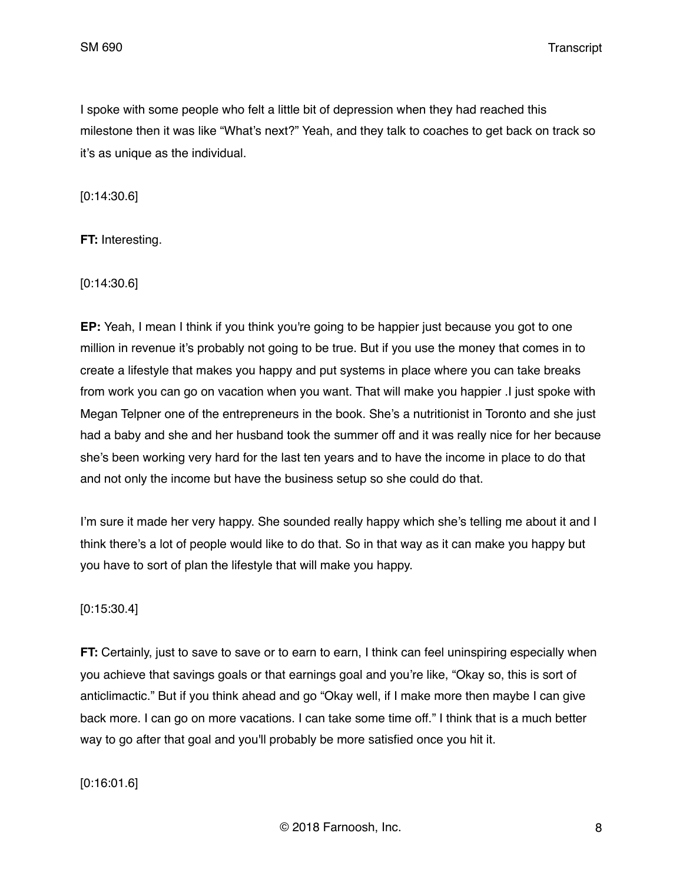I spoke with some people who felt a little bit of depression when they had reached this milestone then it was like "What's next?" Yeah, and they talk to coaches to get back on track so it's as unique as the individual.

[0:14:30.6]

**FT:** Interesting.

[0:14:30.6]

**EP:** Yeah, I mean I think if you think you're going to be happier just because you got to one million in revenue it's probably not going to be true. But if you use the money that comes in to create a lifestyle that makes you happy and put systems in place where you can take breaks from work you can go on vacation when you want. That will make you happier .I just spoke with Megan Telpner one of the entrepreneurs in the book. She's a nutritionist in Toronto and she just had a baby and she and her husband took the summer off and it was really nice for her because she's been working very hard for the last ten years and to have the income in place to do that and not only the income but have the business setup so she could do that.

I'm sure it made her very happy. She sounded really happy which she's telling me about it and I think there's a lot of people would like to do that. So in that way as it can make you happy but you have to sort of plan the lifestyle that will make you happy.

## [0:15:30.4]

**FT:** Certainly, just to save to save or to earn to earn, I think can feel uninspiring especially when you achieve that savings goals or that earnings goal and you're like, "Okay so, this is sort of anticlimactic." But if you think ahead and go "Okay well, if I make more then maybe I can give back more. I can go on more vacations. I can take some time off." I think that is a much better way to go after that goal and you'll probably be more satisfied once you hit it.

[0:16:01.6]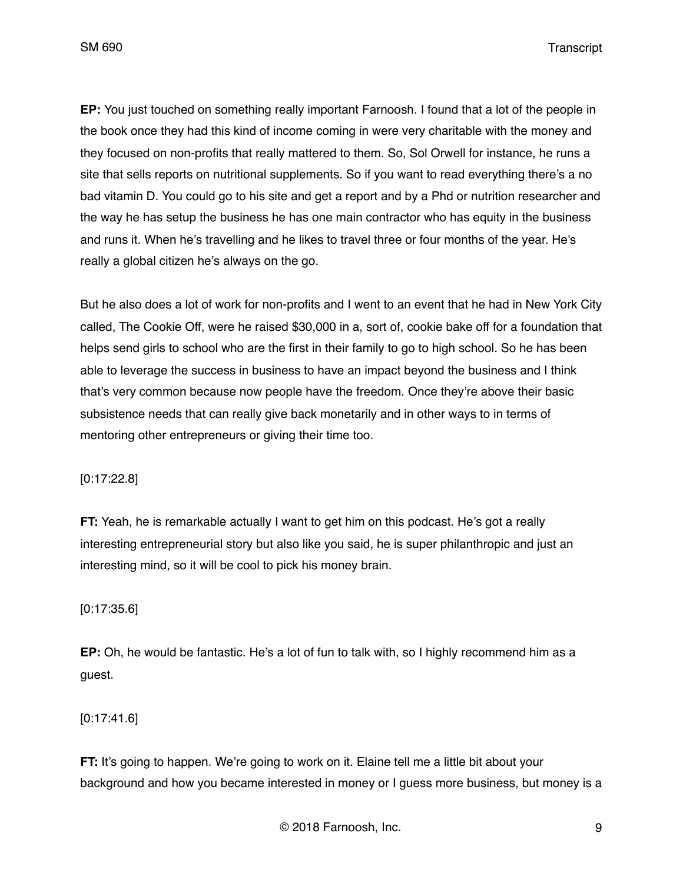**EP:** You just touched on something really important Farnoosh. I found that a lot of the people in the book once they had this kind of income coming in were very charitable with the money and they focused on non-profits that really mattered to them. So, Sol Orwell for instance, he runs a site that sells reports on nutritional supplements. So if you want to read everything there's a no bad vitamin D. You could go to his site and get a report and by a Phd or nutrition researcher and the way he has setup the business he has one main contractor who has equity in the business and runs it. When he's travelling and he likes to travel three or four months of the year. He's really a global citizen he's always on the go.

But he also does a lot of work for non-profits and I went to an event that he had in New York City called, The Cookie Off, were he raised \$30,000 in a, sort of, cookie bake off for a foundation that helps send girls to school who are the first in their family to go to high school. So he has been able to leverage the success in business to have an impact beyond the business and I think that's very common because now people have the freedom. Once they're above their basic subsistence needs that can really give back monetarily and in other ways to in terms of mentoring other entrepreneurs or giving their time too.

[0:17:22.8]

**FT:** Yeah, he is remarkable actually I want to get him on this podcast. He's got a really interesting entrepreneurial story but also like you said, he is super philanthropic and just an interesting mind, so it will be cool to pick his money brain.

[0:17:35.6]

**EP:** Oh, he would be fantastic. He's a lot of fun to talk with, so I highly recommend him as a guest.

[0:17:41.6]

**FT:** It's going to happen. We're going to work on it. Elaine tell me a little bit about your background and how you became interested in money or I guess more business, but money is a

© 2018 Farnoosh, Inc. 9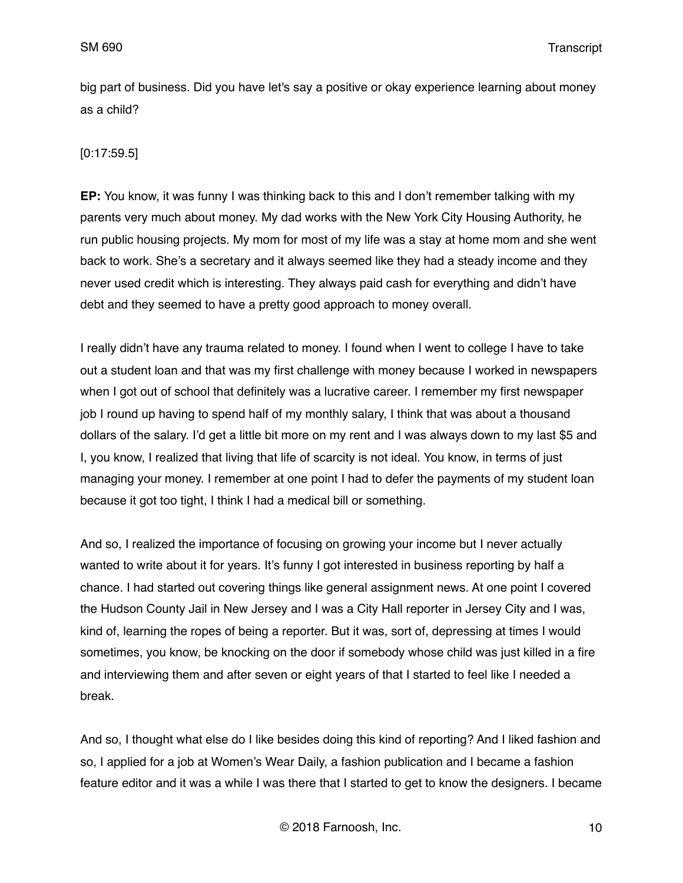big part of business. Did you have let's say a positive or okay experience learning about money as a child?

## [0:17:59.5]

**EP:** You know, it was funny I was thinking back to this and I don't remember talking with my parents very much about money. My dad works with the New York City Housing Authority, he run public housing projects. My mom for most of my life was a stay at home mom and she went back to work. She's a secretary and it always seemed like they had a steady income and they never used credit which is interesting. They always paid cash for everything and didn't have debt and they seemed to have a pretty good approach to money overall.

I really didn't have any trauma related to money. I found when I went to college I have to take out a student loan and that was my first challenge with money because I worked in newspapers when I got out of school that definitely was a lucrative career. I remember my first newspaper job I round up having to spend half of my monthly salary, I think that was about a thousand dollars of the salary. I'd get a little bit more on my rent and I was always down to my last \$5 and I, you know, I realized that living that life of scarcity is not ideal. You know, in terms of just managing your money. I remember at one point I had to defer the payments of my student loan because it got too tight, I think I had a medical bill or something.

And so, I realized the importance of focusing on growing your income but I never actually wanted to write about it for years. It's funny I got interested in business reporting by half a chance. I had started out covering things like general assignment news. At one point I covered the Hudson County Jail in New Jersey and I was a City Hall reporter in Jersey City and I was, kind of, learning the ropes of being a reporter. But it was, sort of, depressing at times I would sometimes, you know, be knocking on the door if somebody whose child was just killed in a fire and interviewing them and after seven or eight years of that I started to feel like I needed a break.

And so, I thought what else do I like besides doing this kind of reporting? And I liked fashion and so, I applied for a job at Women's Wear Daily, a fashion publication and I became a fashion feature editor and it was a while I was there that I started to get to know the designers. I became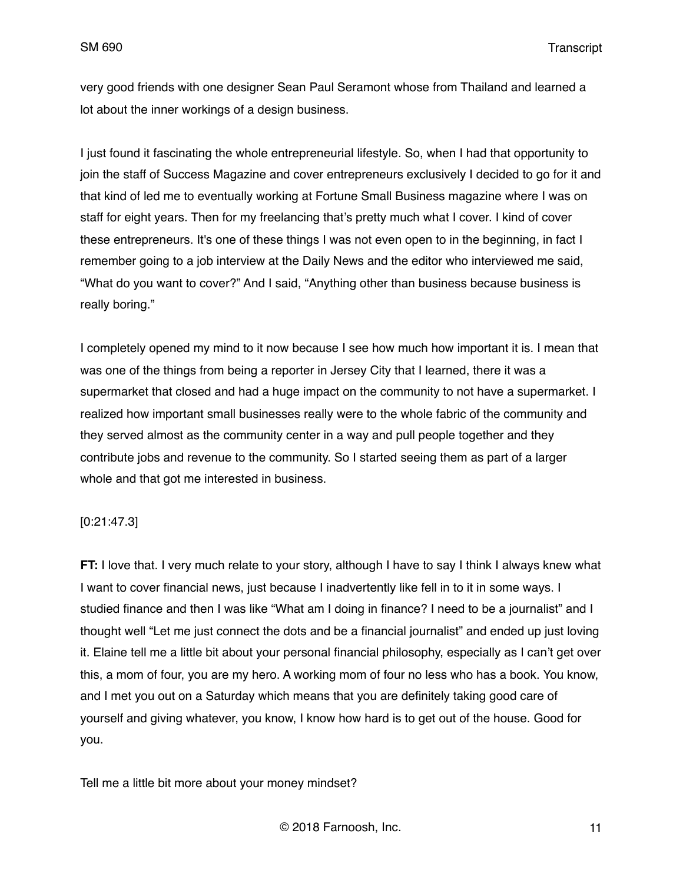very good friends with one designer Sean Paul Seramont whose from Thailand and learned a lot about the inner workings of a design business.

I just found it fascinating the whole entrepreneurial lifestyle. So, when I had that opportunity to join the staff of Success Magazine and cover entrepreneurs exclusively I decided to go for it and that kind of led me to eventually working at Fortune Small Business magazine where I was on staff for eight years. Then for my freelancing that's pretty much what I cover. I kind of cover these entrepreneurs. It's one of these things I was not even open to in the beginning, in fact I remember going to a job interview at the Daily News and the editor who interviewed me said, "What do you want to cover?" And I said, "Anything other than business because business is really boring."

I completely opened my mind to it now because I see how much how important it is. I mean that was one of the things from being a reporter in Jersey City that I learned, there it was a supermarket that closed and had a huge impact on the community to not have a supermarket. I realized how important small businesses really were to the whole fabric of the community and they served almost as the community center in a way and pull people together and they contribute jobs and revenue to the community. So I started seeing them as part of a larger whole and that got me interested in business.

## [0:21:47.3]

**FT:** I love that. I very much relate to your story, although I have to say I think I always knew what I want to cover financial news, just because I inadvertently like fell in to it in some ways. I studied finance and then I was like "What am I doing in finance? I need to be a journalist" and I thought well "Let me just connect the dots and be a financial journalist" and ended up just loving it. Elaine tell me a little bit about your personal financial philosophy, especially as I can't get over this, a mom of four, you are my hero. A working mom of four no less who has a book. You know, and I met you out on a Saturday which means that you are definitely taking good care of yourself and giving whatever, you know, I know how hard is to get out of the house. Good for you.

Tell me a little bit more about your money mindset?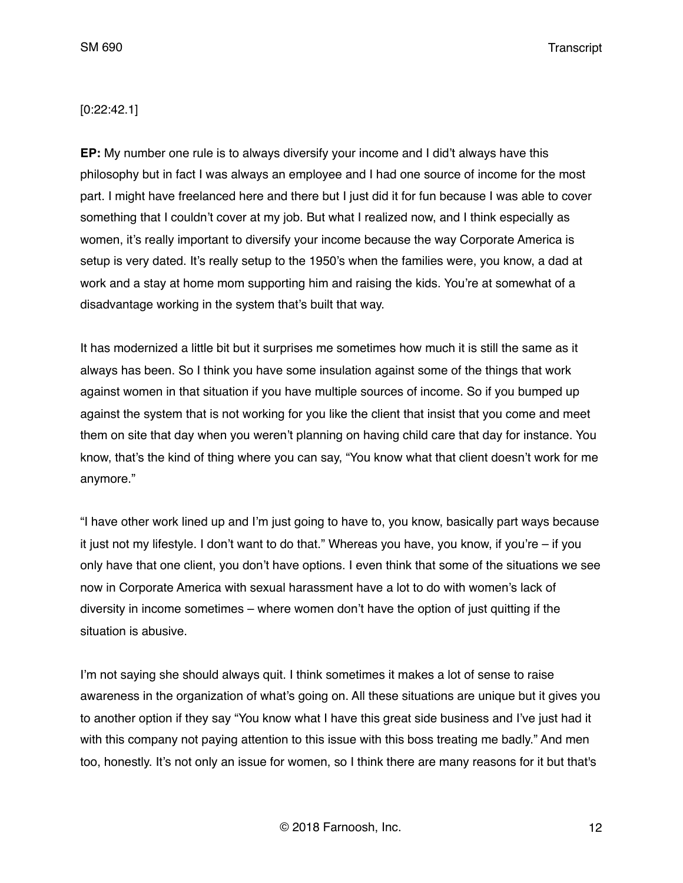## [0:22:42.1]

**EP:** My number one rule is to always diversify your income and I did't always have this philosophy but in fact I was always an employee and I had one source of income for the most part. I might have freelanced here and there but I just did it for fun because I was able to cover something that I couldn't cover at my job. But what I realized now, and I think especially as women, it's really important to diversify your income because the way Corporate America is setup is very dated. It's really setup to the 1950's when the families were, you know, a dad at work and a stay at home mom supporting him and raising the kids. You're at somewhat of a disadvantage working in the system that's built that way.

It has modernized a little bit but it surprises me sometimes how much it is still the same as it always has been. So I think you have some insulation against some of the things that work against women in that situation if you have multiple sources of income. So if you bumped up against the system that is not working for you like the client that insist that you come and meet them on site that day when you weren't planning on having child care that day for instance. You know, that's the kind of thing where you can say, "You know what that client doesn't work for me anymore."

"I have other work lined up and I'm just going to have to, you know, basically part ways because it just not my lifestyle. I don't want to do that." Whereas you have, you know, if you're – if you only have that one client, you don't have options. I even think that some of the situations we see now in Corporate America with sexual harassment have a lot to do with women's lack of diversity in income sometimes – where women don't have the option of just quitting if the situation is abusive.

I'm not saying she should always quit. I think sometimes it makes a lot of sense to raise awareness in the organization of what's going on. All these situations are unique but it gives you to another option if they say "You know what I have this great side business and I've just had it with this company not paying attention to this issue with this boss treating me badly." And men too, honestly. It's not only an issue for women, so I think there are many reasons for it but that's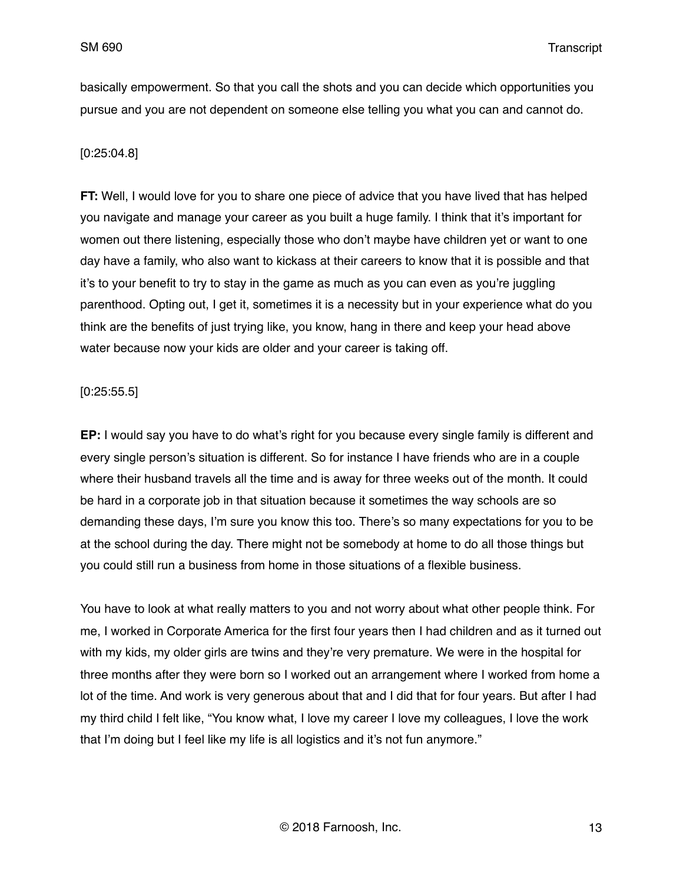basically empowerment. So that you call the shots and you can decide which opportunities you pursue and you are not dependent on someone else telling you what you can and cannot do.

## [0:25:04.8]

**FT:** Well, I would love for you to share one piece of advice that you have lived that has helped you navigate and manage your career as you built a huge family. I think that it's important for women out there listening, especially those who don't maybe have children yet or want to one day have a family, who also want to kickass at their careers to know that it is possible and that it's to your benefit to try to stay in the game as much as you can even as you're juggling parenthood. Opting out, I get it, sometimes it is a necessity but in your experience what do you think are the benefits of just trying like, you know, hang in there and keep your head above water because now your kids are older and your career is taking off.

#### [0:25:55.5]

**EP:** I would say you have to do what's right for you because every single family is different and every single person's situation is different. So for instance I have friends who are in a couple where their husband travels all the time and is away for three weeks out of the month. It could be hard in a corporate job in that situation because it sometimes the way schools are so demanding these days, I'm sure you know this too. There's so many expectations for you to be at the school during the day. There might not be somebody at home to do all those things but you could still run a business from home in those situations of a flexible business.

You have to look at what really matters to you and not worry about what other people think. For me, I worked in Corporate America for the first four years then I had children and as it turned out with my kids, my older girls are twins and they're very premature. We were in the hospital for three months after they were born so I worked out an arrangement where I worked from home a lot of the time. And work is very generous about that and I did that for four years. But after I had my third child I felt like, "You know what, I love my career I love my colleagues, I love the work that I'm doing but I feel like my life is all logistics and it's not fun anymore."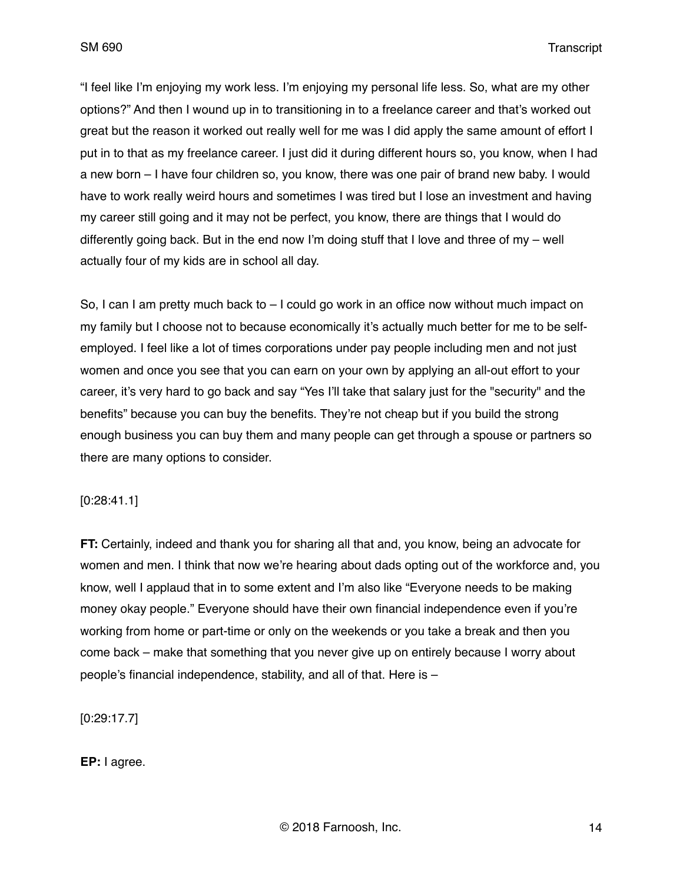"I feel like I'm enjoying my work less. I'm enjoying my personal life less. So, what are my other options?" And then I wound up in to transitioning in to a freelance career and that's worked out great but the reason it worked out really well for me was I did apply the same amount of effort I put in to that as my freelance career. I just did it during different hours so, you know, when I had a new born – I have four children so, you know, there was one pair of brand new baby. I would have to work really weird hours and sometimes I was tired but I lose an investment and having my career still going and it may not be perfect, you know, there are things that I would do differently going back. But in the end now I'm doing stuff that I love and three of my – well actually four of my kids are in school all day.

So, I can I am pretty much back to – I could go work in an office now without much impact on my family but I choose not to because economically it's actually much better for me to be selfemployed. I feel like a lot of times corporations under pay people including men and not just women and once you see that you can earn on your own by applying an all-out effort to your career, it's very hard to go back and say "Yes I'll take that salary just for the "security" and the benefits" because you can buy the benefits. They're not cheap but if you build the strong enough business you can buy them and many people can get through a spouse or partners so there are many options to consider.

[0:28:41.1]

**FT:** Certainly, indeed and thank you for sharing all that and, you know, being an advocate for women and men. I think that now we're hearing about dads opting out of the workforce and, you know, well I applaud that in to some extent and I'm also like "Everyone needs to be making money okay people." Everyone should have their own financial independence even if you're working from home or part-time or only on the weekends or you take a break and then you come back – make that something that you never give up on entirely because I worry about people's financial independence, stability, and all of that. Here is –

[0:29:17.7]

**EP:** I agree.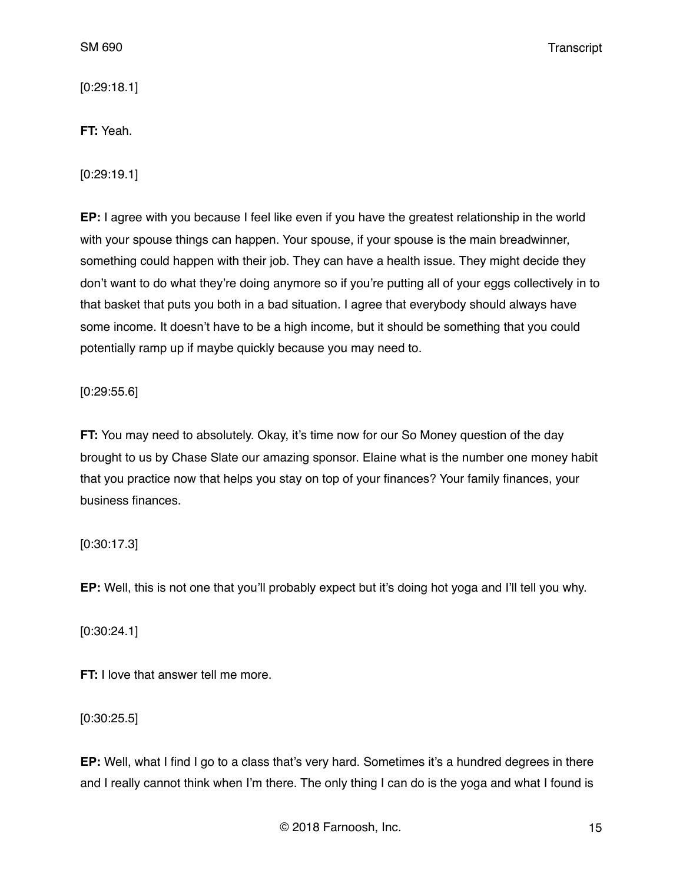[0:29:18.1]

**FT:** Yeah.

[0:29:19.1]

**EP:** I agree with you because I feel like even if you have the greatest relationship in the world with your spouse things can happen. Your spouse, if your spouse is the main breadwinner, something could happen with their job. They can have a health issue. They might decide they don't want to do what they're doing anymore so if you're putting all of your eggs collectively in to that basket that puts you both in a bad situation. I agree that everybody should always have some income. It doesn't have to be a high income, but it should be something that you could potentially ramp up if maybe quickly because you may need to.

[0:29:55.6]

**FT:** You may need to absolutely. Okay, it's time now for our So Money question of the day brought to us by Chase Slate our amazing sponsor. Elaine what is the number one money habit that you practice now that helps you stay on top of your finances? Your family finances, your business finances.

[0:30:17.3]

**EP:** Well, this is not one that you'll probably expect but it's doing hot yoga and I'll tell you why.

[0:30:24.1]

**FT:** I love that answer tell me more.

[0:30:25.5]

**EP:** Well, what I find I go to a class that's very hard. Sometimes it's a hundred degrees in there and I really cannot think when I'm there. The only thing I can do is the yoga and what I found is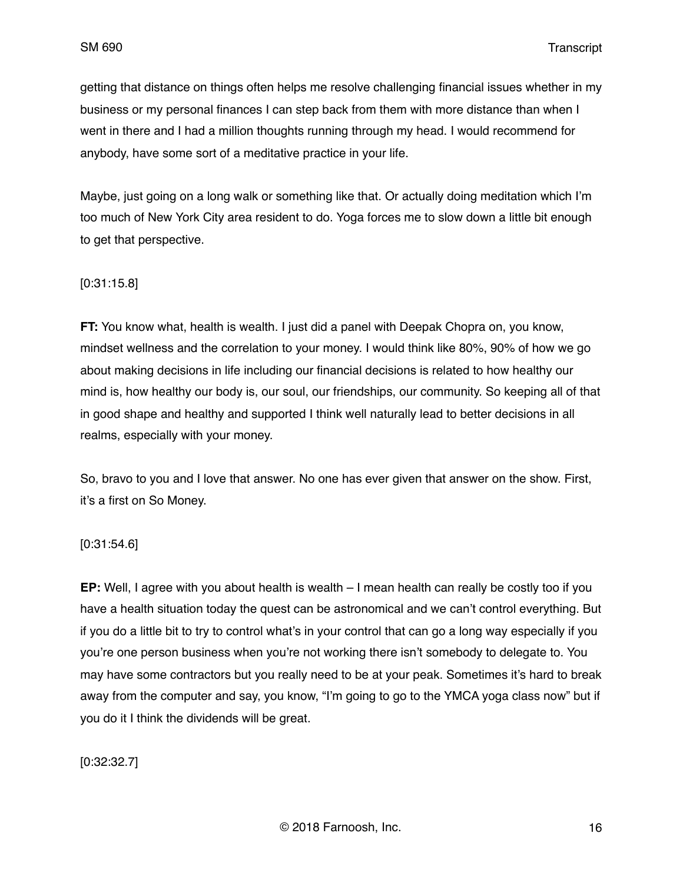getting that distance on things often helps me resolve challenging financial issues whether in my business or my personal finances I can step back from them with more distance than when I went in there and I had a million thoughts running through my head. I would recommend for anybody, have some sort of a meditative practice in your life.

Maybe, just going on a long walk or something like that. Or actually doing meditation which I'm too much of New York City area resident to do. Yoga forces me to slow down a little bit enough to get that perspective.

#### [0:31:15.8]

**FT:** You know what, health is wealth. I just did a panel with Deepak Chopra on, you know, mindset wellness and the correlation to your money. I would think like 80%, 90% of how we go about making decisions in life including our financial decisions is related to how healthy our mind is, how healthy our body is, our soul, our friendships, our community. So keeping all of that in good shape and healthy and supported I think well naturally lead to better decisions in all realms, especially with your money.

So, bravo to you and I love that answer. No one has ever given that answer on the show. First, it's a first on So Money.

#### [0:31:54.6]

**EP:** Well, I agree with you about health is wealth – I mean health can really be costly too if you have a health situation today the quest can be astronomical and we can't control everything. But if you do a little bit to try to control what's in your control that can go a long way especially if you you're one person business when you're not working there isn't somebody to delegate to. You may have some contractors but you really need to be at your peak. Sometimes it's hard to break away from the computer and say, you know, "I'm going to go to the YMCA yoga class now" but if you do it I think the dividends will be great.

[0:32:32.7]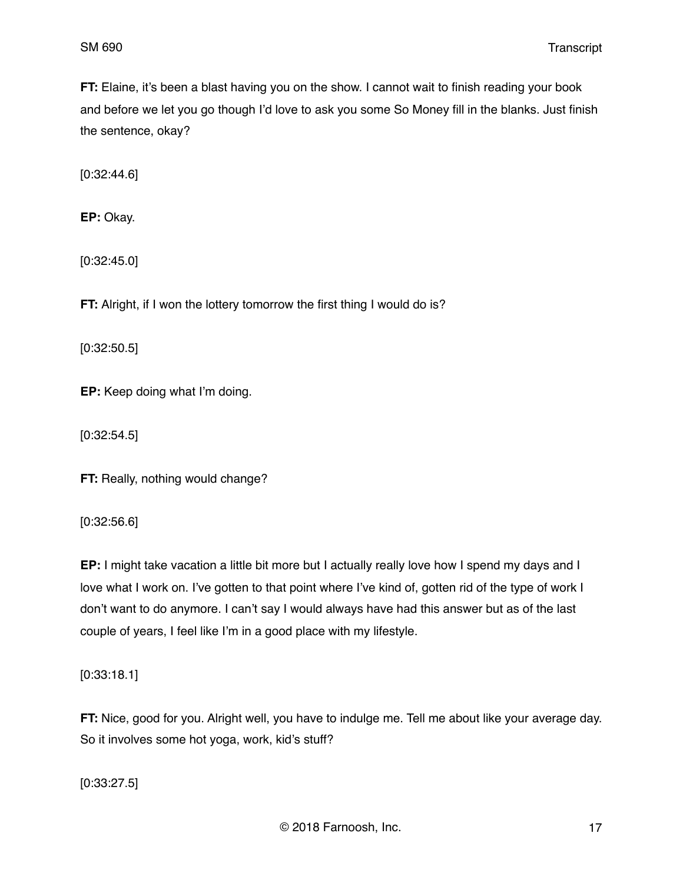**FT:** Elaine, it's been a blast having you on the show. I cannot wait to finish reading your book and before we let you go though I'd love to ask you some So Money fill in the blanks. Just finish the sentence, okay?

[0:32:44.6]

**EP:** Okay.

[0:32:45.0]

**FT:** Alright, if I won the lottery tomorrow the first thing I would do is?

[0:32:50.5]

**EP:** Keep doing what I'm doing.

[0:32:54.5]

**FT:** Really, nothing would change?

[0:32:56.6]

**EP:** I might take vacation a little bit more but I actually really love how I spend my days and I love what I work on. I've gotten to that point where I've kind of, gotten rid of the type of work I don't want to do anymore. I can't say I would always have had this answer but as of the last couple of years, I feel like I'm in a good place with my lifestyle.

[0:33:18.1]

**FT:** Nice, good for you. Alright well, you have to indulge me. Tell me about like your average day. So it involves some hot yoga, work, kid's stuff?

[0:33:27.5]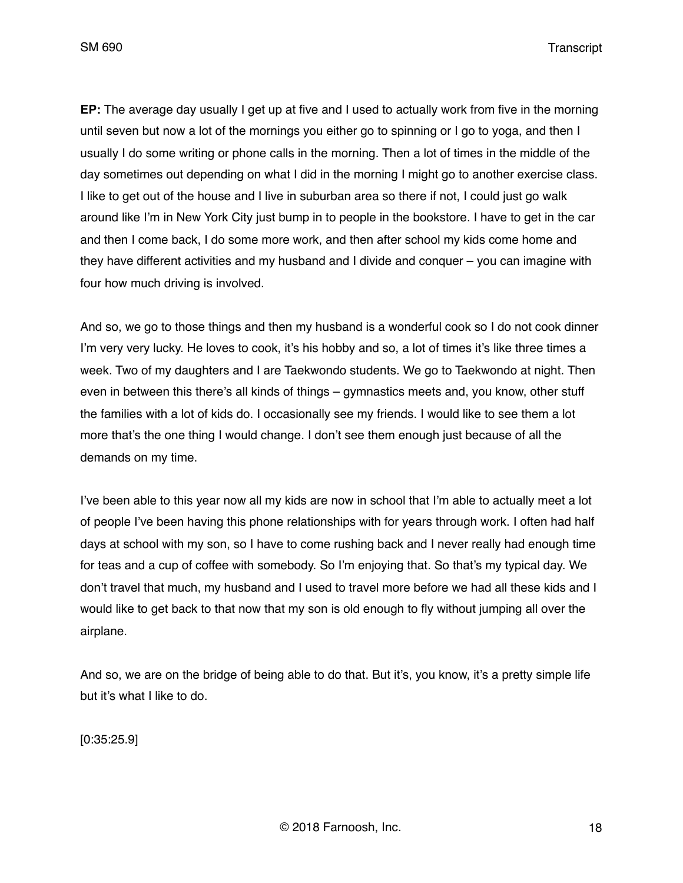**EP:** The average day usually I get up at five and I used to actually work from five in the morning until seven but now a lot of the mornings you either go to spinning or I go to yoga, and then I usually I do some writing or phone calls in the morning. Then a lot of times in the middle of the day sometimes out depending on what I did in the morning I might go to another exercise class. I like to get out of the house and I live in suburban area so there if not, I could just go walk around like I'm in New York City just bump in to people in the bookstore. I have to get in the car and then I come back, I do some more work, and then after school my kids come home and they have different activities and my husband and I divide and conquer – you can imagine with four how much driving is involved.

And so, we go to those things and then my husband is a wonderful cook so I do not cook dinner I'm very very lucky. He loves to cook, it's his hobby and so, a lot of times it's like three times a week. Two of my daughters and I are Taekwondo students. We go to Taekwondo at night. Then even in between this there's all kinds of things – gymnastics meets and, you know, other stuff the families with a lot of kids do. I occasionally see my friends. I would like to see them a lot more that's the one thing I would change. I don't see them enough just because of all the demands on my time.

I've been able to this year now all my kids are now in school that I'm able to actually meet a lot of people I've been having this phone relationships with for years through work. I often had half days at school with my son, so I have to come rushing back and I never really had enough time for teas and a cup of coffee with somebody. So I'm enjoying that. So that's my typical day. We don't travel that much, my husband and I used to travel more before we had all these kids and I would like to get back to that now that my son is old enough to fly without jumping all over the airplane.

And so, we are on the bridge of being able to do that. But it's, you know, it's a pretty simple life but it's what I like to do.

[0:35:25.9]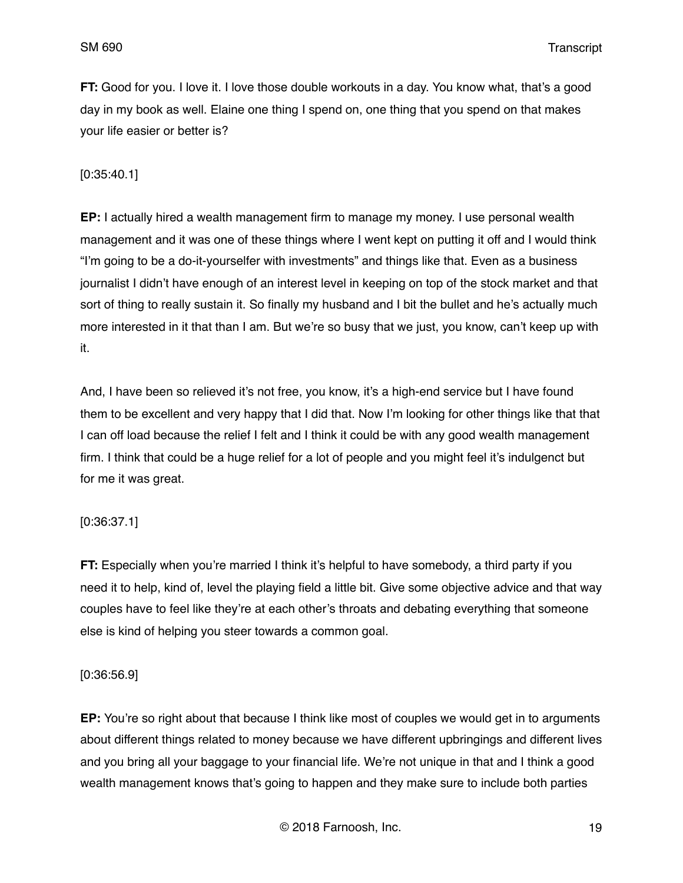**FT:** Good for you. I love it. I love those double workouts in a day. You know what, that's a good day in my book as well. Elaine one thing I spend on, one thing that you spend on that makes your life easier or better is?

#### [0:35:40.1]

**EP:** I actually hired a wealth management firm to manage my money. I use personal wealth management and it was one of these things where I went kept on putting it off and I would think "I'm going to be a do-it-yourselfer with investments" and things like that. Even as a business journalist I didn't have enough of an interest level in keeping on top of the stock market and that sort of thing to really sustain it. So finally my husband and I bit the bullet and he's actually much more interested in it that than I am. But we're so busy that we just, you know, can't keep up with it.

And, I have been so relieved it's not free, you know, it's a high-end service but I have found them to be excellent and very happy that I did that. Now I'm looking for other things like that that I can off load because the relief I felt and I think it could be with any good wealth management firm. I think that could be a huge relief for a lot of people and you might feel it's indulgenct but for me it was great.

## [0:36:37.1]

**FT:** Especially when you're married I think it's helpful to have somebody, a third party if you need it to help, kind of, level the playing field a little bit. Give some objective advice and that way couples have to feel like they're at each other's throats and debating everything that someone else is kind of helping you steer towards a common goal.

## [0:36:56.9]

**EP:** You're so right about that because I think like most of couples we would get in to arguments about different things related to money because we have different upbringings and different lives and you bring all your baggage to your financial life. We're not unique in that and I think a good wealth management knows that's going to happen and they make sure to include both parties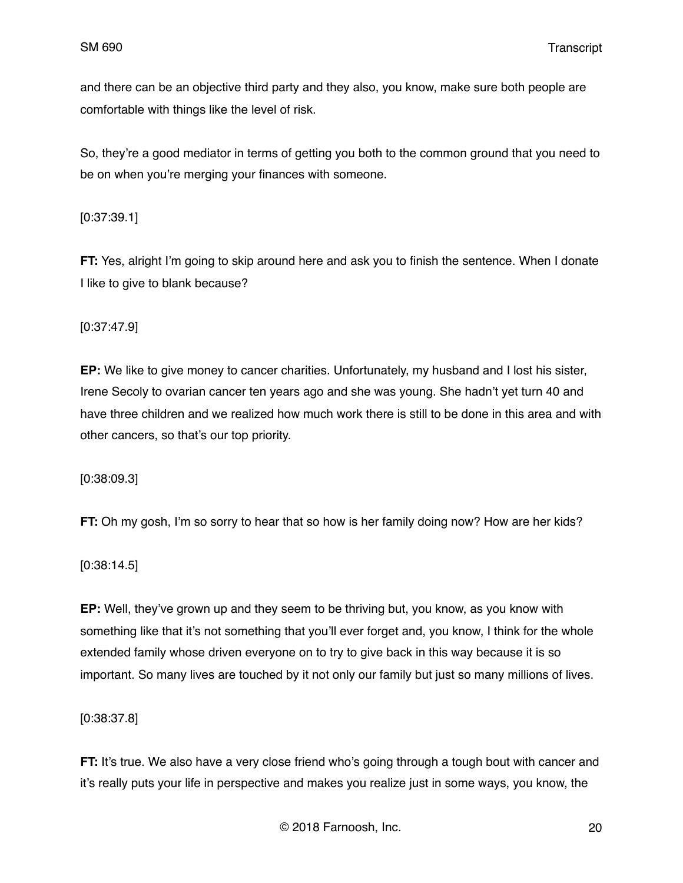and there can be an objective third party and they also, you know, make sure both people are comfortable with things like the level of risk.

So, they're a good mediator in terms of getting you both to the common ground that you need to be on when you're merging your finances with someone.

## [0:37:39.1]

**FT:** Yes, alright I'm going to skip around here and ask you to finish the sentence. When I donate I like to give to blank because?

## [0:37:47.9]

**EP:** We like to give money to cancer charities. Unfortunately, my husband and I lost his sister, Irene Secoly to ovarian cancer ten years ago and she was young. She hadn't yet turn 40 and have three children and we realized how much work there is still to be done in this area and with other cancers, so that's our top priority.

[0:38:09.3]

**FT:** Oh my gosh, I'm so sorry to hear that so how is her family doing now? How are her kids?

[0:38:14.5]

**EP:** Well, they've grown up and they seem to be thriving but, you know, as you know with something like that it's not something that you'll ever forget and, you know, I think for the whole extended family whose driven everyone on to try to give back in this way because it is so important. So many lives are touched by it not only our family but just so many millions of lives.

[0:38:37.8]

**FT:** It's true. We also have a very close friend who's going through a tough bout with cancer and it's really puts your life in perspective and makes you realize just in some ways, you know, the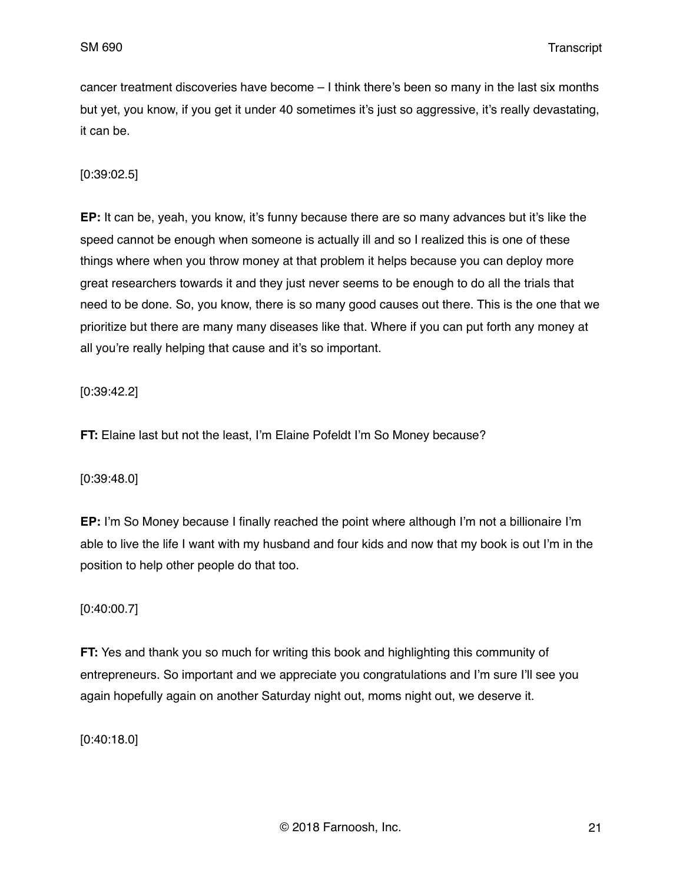cancer treatment discoveries have become – I think there's been so many in the last six months but yet, you know, if you get it under 40 sometimes it's just so aggressive, it's really devastating, it can be.

#### [0:39:02.5]

**EP:** It can be, yeah, you know, it's funny because there are so many advances but it's like the speed cannot be enough when someone is actually ill and so I realized this is one of these things where when you throw money at that problem it helps because you can deploy more great researchers towards it and they just never seems to be enough to do all the trials that need to be done. So, you know, there is so many good causes out there. This is the one that we prioritize but there are many many diseases like that. Where if you can put forth any money at all you're really helping that cause and it's so important.

[0:39:42.2]

**FT:** Elaine last but not the least, I'm Elaine Pofeldt I'm So Money because?

## [0:39:48.0]

**EP:** I'm So Money because I finally reached the point where although I'm not a billionaire I'm able to live the life I want with my husband and four kids and now that my book is out I'm in the position to help other people do that too.

## [0:40:00.7]

**FT:** Yes and thank you so much for writing this book and highlighting this community of entrepreneurs. So important and we appreciate you congratulations and I'm sure I'll see you again hopefully again on another Saturday night out, moms night out, we deserve it.

[0:40:18.0]